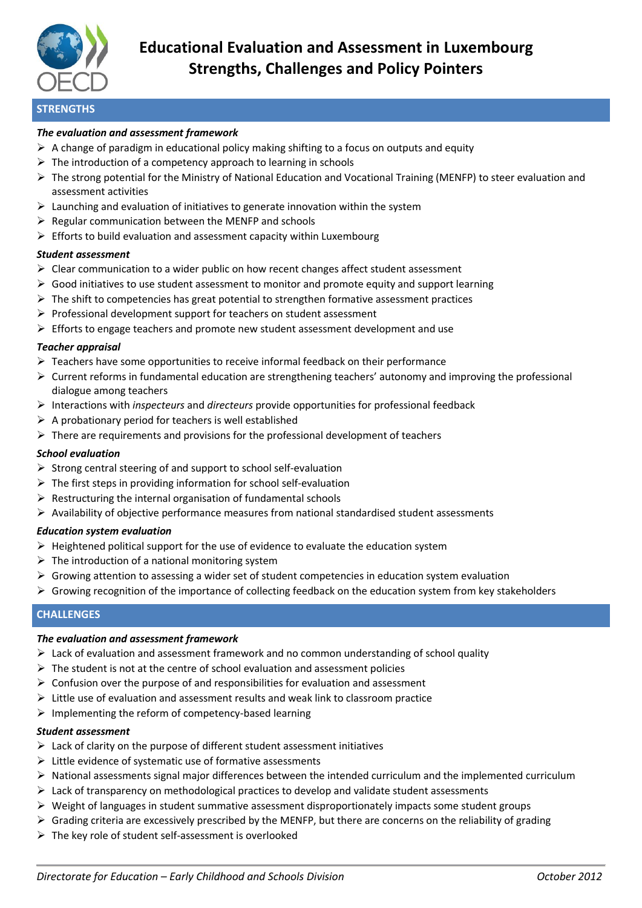

# **Educational Evaluation and Assessment in Luxembourg Strengths, Challenges and Policy Pointers**

## **STRENGTHS**

#### *The evaluation and assessment framework*

- $\triangleright$  A change of paradigm in educational policy making shifting to a focus on outputs and equity
- $\triangleright$  The introduction of a competency approach to learning in schools
- $\triangleright$  The strong potential for the Ministry of National Education and Vocational Training (MENFP) to steer evaluation and assessment activities
- $\triangleright$  Launching and evaluation of initiatives to generate innovation within the system
- $\triangleright$  Regular communication between the MENFP and schools
- $\triangleright$  Efforts to build evaluation and assessment capacity within Luxembourg

#### *Student assessment*

- $\triangleright$  Clear communication to a wider public on how recent changes affect student assessment
- $\triangleright$  Good initiatives to use student assessment to monitor and promote equity and support learning
- $\triangleright$  The shift to competencies has great potential to strengthen formative assessment practices
- $\triangleright$  Professional development support for teachers on student assessment
- $\triangleright$  Efforts to engage teachers and promote new student assessment development and use

#### *Teacher appraisal*

- $\triangleright$  Teachers have some opportunities to receive informal feedback on their performance
- $\triangleright$  Current reforms in fundamental education are strengthening teachers' autonomy and improving the professional dialogue among teachers
- Interactions with *inspecteurs* and *directeurs* provide opportunities for professional feedback
- $\triangleright$  A probationary period for teachers is well established
- $\triangleright$  There are requirements and provisions for the professional development of teachers

#### *School evaluation*

- $\triangleright$  Strong central steering of and support to school self-evaluation
- $\triangleright$  The first steps in providing information for school self-evaluation
- $\triangleright$  Restructuring the internal organisation of fundamental schools
- $\triangleright$  Availability of objective performance measures from national standardised student assessments

#### *Education system evaluation*

- $\triangleright$  Heightened political support for the use of evidence to evaluate the education system
- $\triangleright$  The introduction of a national monitoring system
- $\triangleright$  Growing attention to assessing a wider set of student competencies in education system evaluation
- $\triangleright$  Growing recognition of the importance of collecting feedback on the education system from key stakeholders

## **CHALLENGES**

#### *The evaluation and assessment framework*

- $\triangleright$  Lack of evaluation and assessment framework and no common understanding of school quality
- $\triangleright$  The student is not at the centre of school evaluation and assessment policies
- $\triangleright$  Confusion over the purpose of and responsibilities for evaluation and assessment
- $\triangleright$  Little use of evaluation and assessment results and weak link to classroom practice
- $\triangleright$  Implementing the reform of competency-based learning

#### *Student assessment*

- $\triangleright$  Lack of clarity on the purpose of different student assessment initiatives
- $\triangleright$  Little evidence of systematic use of formative assessments
- $\triangleright$  National assessments signal major differences between the intended curriculum and the implemented curriculum
- $\triangleright$  Lack of transparency on methodological practices to develop and validate student assessments
- $\triangleright$  Weight of languages in student summative assessment disproportionately impacts some student groups
- $\triangleright$  Grading criteria are excessively prescribed by the MENFP, but there are concerns on the reliability of grading
- $\triangleright$  The key role of student self-assessment is overlooked